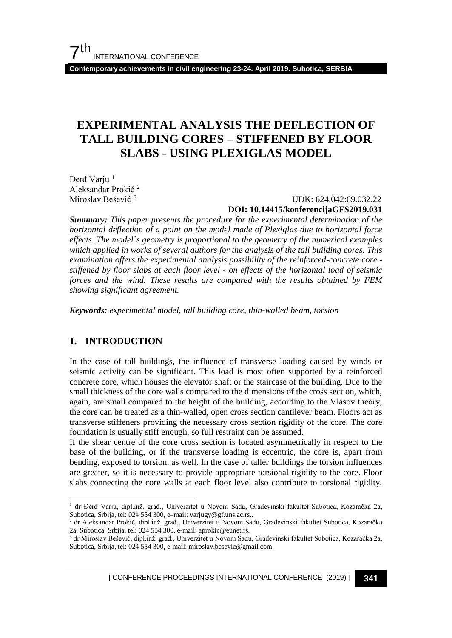**Contemporary achievements in civil engineering 23-24. April 2019. Subotica, SERBIA**

## **EXPERIMENTAL ANALYSIS THE DEFLECTION OF TALL BUILDING CORES – STIFFENED BY FLOOR SLABS - USING PLEXIGLAS MODEL**

Đerđ Varju<sup>[1](#page-0-0)</sup> Aleksandar Prokić [2](#page-0-1) Miroslav Bešević [3](#page-0-2)

 UDK: 624.042:69.032.22 **DOI: 10.14415/konferencijaGFS2019.031**

*Summary: This paper presents the procedure for the experimental determination of the horizontal deflection of a point on the model made of Plexiglas due to horizontal force effects. The model`s geometry is proportional to the geometry of the numerical examples which applied in works of several authors for the analysis of the tall building cores. This examination offers the experimental analysis possibility of the reinforced-concrete core stiffened by floor slabs at each floor level - on effects of the horizontal load of seismic forces and the wind. These results are compared with the results obtained by FEM showing significant agreement.* 

*Keywords: experimental model, tall building core, thin-walled beam, torsion*

## **1. INTRODUCTION**

In the case of tall buildings, the influence of transverse loading caused by winds or seismic activity can be significant. This load is most often supported by a reinforced concrete core, which houses the elevator shaft or the staircase of the building. Due to the small thickness of the core walls compared to the dimensions of the cross section, which, again, are small compared to the height of the building, according to the Vlasov theory, the core can be treated as a thin-walled, open cross section cantilever beam. Floors act as transverse stiffeners providing the necessary cross section rigidity of the core. The core foundation is usually stiff enough, so full restraint can be assumed.

If the shear centre of the core cross section is located asymmetrically in respect to the base of the building, or if the transverse loading is eccentric, the core is, apart from bending, exposed to torsion, as well. In the case of taller buildings the torsion influences are greater, so it is necessary to provide appropriate torsional rigidity to the core. Floor slabs connecting the core walls at each floor level also contribute to torsional rigidity.

| CONFERENCE PROCEEDINGS INTERNATIONAL CONFERENCE (2019) <sup>|</sup>**341**

<span id="page-0-0"></span> <sup>1</sup> dr Đerđ Varju, dipl.inž. građ., Univerzitet u Novom Sadu, Građevinski fakultet Subotica, Kozaračka 2a, Subotica, Srbija, tel: 024 554 300, e–mail: [varjugy@gf.uns.ac.rs.](mailto:varjugy@gf.uns.ac.rs).

<span id="page-0-1"></span><sup>2</sup> dr Aleksandar Prokić, dipl.inž. građ., Univerzitet u Novom Sadu, Građevinski fakultet Subotica, Kozaračka 2a, Subotica, Srbija, tel: 024 554 300, e-mail: [aprokic@eunet.rs.](mailto:aprokic@eunet.rs)

<span id="page-0-2"></span><sup>3</sup> dr Miroslav Bešević, dipl.inž. građ., Univerzitet u Novom Sadu, Građevinski fakultet Subotica, Kozaračka 2a, Subotica, Srbija, tel: 024 554 300, e-mail[: miroslav.besevic@gmail.com.](mailto:miroslav.besevic@gmail.com)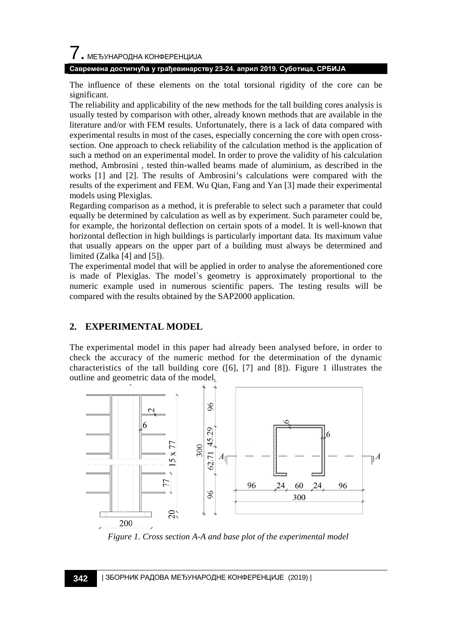# $\overline{\phantom{a}}$ . МЕЂУНАРОДНА КОНФЕРЕНЦИЈА

#### **Савремена достигнућа у грађевинарству 23-24. април 2019. Суботица, СРБИЈА**

The influence of these elements on the total torsional rigidity of the core can be significant.

The reliability and applicability of the new methods for the tall building cores analysis is usually tested by comparison with other, already known methods that are available in the literature and/or with FEM results. Unfortunately, there is a lack of data compared with experimental results in most of the cases, especially concerning the core with open crosssection. One approach to check reliability of the calculation method is the application of such a method on an experimental model. In order to prove the validity of his calculation method, Ambrosini , tested thin-walled beams made of aluminium, as described in the works [1] and [2]. The results of Ambrosini's calculations were compared with the results of the experiment and FEM. Wu Qian, Fang and Yan [3] made their experimental models using Plexiglas.

Regarding comparison as a method, it is preferable to select such a parameter that could equally be determined by calculation as well as by experiment. Such parameter could be, for example, the horizontal deflection on certain spots of a model. It is well-known that horizontal deflection in high buildings is particularly important data. Its maximum value that usually appears on the upper part of a building must always be determined and limited (Zalka [4] and [5]).

The experimental model that will be applied in order to analyse the aforementioned core is made of Plexiglas. The model`s geometry is approximately proportional to the numeric example used in numerous scientific papers. The testing results will be compared with the results obtained by the SAP2000 application.

#### **2. EXPERIMENTAL MODEL**

The experimental model in this paper had already been analysed before, in order to check the accuracy of the numeric method for the determination of the dynamic characteristics of the tall building core  $([6], [7]$  and  $[8]$ ). Figure 1 illustrates the outline and geometric data of the model*.*



*Figure 1. Cross section A-A and base plot of the experimental model*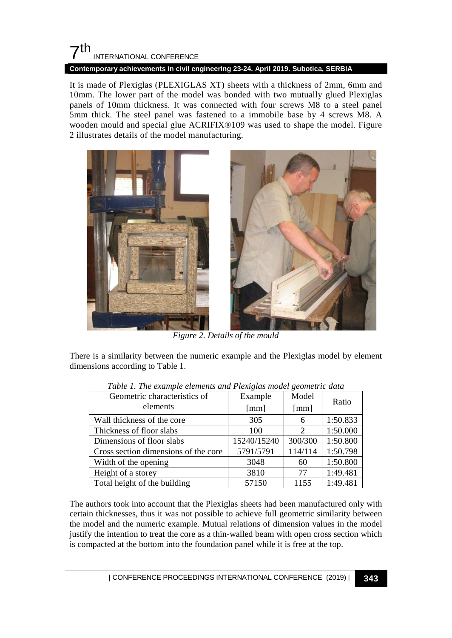## $7th$ INTERNATIONAL CONFERENCE

**Contemporary achievements in civil engineering 23-24. April 2019. Subotica, SERBIA**

It is made of Plexiglas (PLEXIGLAS XT) sheets with a thickness of 2mm, 6mm and 10mm. The lower part of the model was bonded with two mutually glued Plexiglas panels of 10mm thickness. It was connected with four screws M8 to a steel panel 5mm thick. The steel panel was fastened to a immobile base by 4 screws M8. A wooden mould and special glue ACRIFIX®109 was used to shape the model. Figure 2 illustrates details of the model manufacturing.



*Figure 2. Details of the mould*

There is a similarity between the numeric example and the Plexiglas model by element dimensions according to Table 1.

| Tuble 1. The example elements and I text, has model geometric auto |                      |                             |          |  |  |
|--------------------------------------------------------------------|----------------------|-----------------------------|----------|--|--|
| Geometric characteristics of                                       | Example              | Model                       | Ratio    |  |  |
| elements                                                           | $\lceil$ mm $\rceil$ | [mm]                        |          |  |  |
| Wall thickness of the core                                         | 305                  | 6                           | 1:50.833 |  |  |
| Thickness of floor slabs                                           | 100                  | $\mathcal{D}_{\mathcal{A}}$ | 1:50.000 |  |  |
| Dimensions of floor slabs                                          | 15240/15240          | 300/300                     | 1:50.800 |  |  |
| Cross section dimensions of the core                               | 5791/5791            | 114/114                     | 1:50.798 |  |  |
| Width of the opening                                               | 3048                 | 60                          | 1:50.800 |  |  |
| Height of a storey                                                 | 3810                 | 77                          | 1:49.481 |  |  |
| Total height of the building                                       | 57150                | 1155                        | 1:49.481 |  |  |

*Table 1. The example elements and Plexiglas model geometric data*

The authors took into account that the Plexiglas sheets had been manufactured only with certain thicknesses, thus it was not possible to achieve full geometric similarity between the model and the numeric example. Mutual relations of dimension values in the model justify the intention to treat the core as a thin-walled beam with open cross section which is compacted at the bottom into the foundation panel while it is free at the top.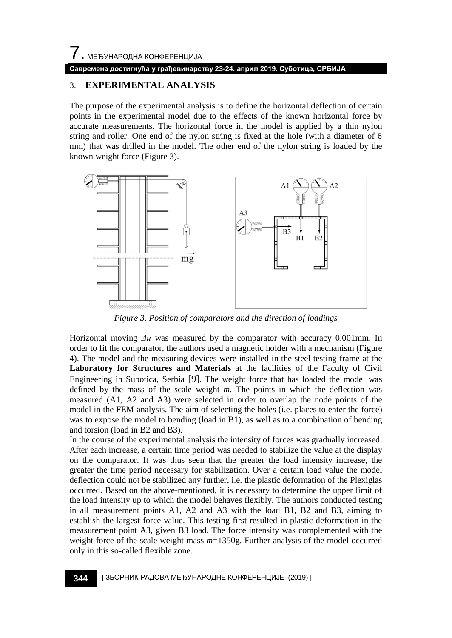# 7. МЕЂУНАРОДНА КОНФЕРЕНЦИЈА **Савремена достигнућа у грађевинарству 23-24. април 2019. Суботица, СРБИЈА**

#### 3. **EXPERIMENTAL ANALYSIS**

The purpose of the experimental analysis is to define the horizontal deflection of certain points in the experimental model due to the effects of the known horizontal force by accurate measurements. The horizontal force in the model is applied by a thin nylon string and roller. One end of the nylon string is fixed at the hole (with a diameter of 6 mm) that was drilled in the model. The other end of the nylon string is loaded by the known weight force (Figure 3).



*Figure 3. Position of comparators and the direction of loadings*

Horizontal moving *Δu* was measured by the comparator with accuracy 0.001mm. In order to fit the comparator, the authors used a magnetic holder with a mechanism (Figure 4). The model and the measuring devices were installed in the steel testing frame at the **Laboratory for Structures and Materials** at the facilities of the Faculty of Civil Engineering in Subotica, Serbia [9]. The weight force that has loaded the model was defined by the mass of the scale weight *m*. The points in which the deflection was measured (A1, A2 and A3) were selected in order to overlap the node points of the model in the FEM analysis. The aim of selecting the holes (i.e. places to enter the force) was to expose the model to bending (load in B1), as well as to a combination of bending and torsion (load in B2 and B3).

In the course of the experimental analysis the intensity of forces was gradually increased. After each increase, a certain time period was needed to stabilize the value at the display on the comparator. It was thus seen that the greater the load intensity increase, the greater the time period necessary for stabilization. Over a certain load value the model deflection could not be stabilized any further, i.e. the plastic deformation of the Plexiglas occurred. Based on the above-mentioned, it is necessary to determine the upper limit of the load intensity up to which the model behaves flexibly. The authors conducted testing in all measurement points A1, A2 and A3 with the load B1, B2 and B3, aiming to establish the largest force value. This testing first resulted in plastic deformation in the measurement point A3, given B3 load. The force intensity was complemented with the weight force of the scale weight mass *m*=1350g. Further analysis of the model occurred only in this so-called flexible zone.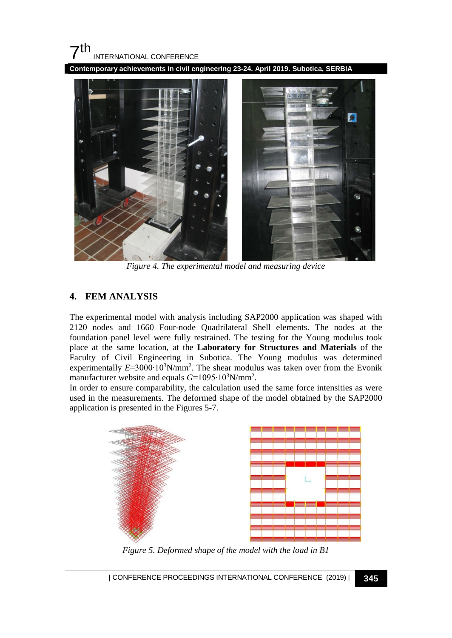#### $\mathbf{7}$ th INTERNATIONAL CONFERENCE

**Contemporary achievements in civil engineering 23-24. April 2019. Subotica, SERBIA**



*Figure 4. The experimental model and measuring device*

#### **4. FEM ANALYSIS**

The experimental model with analysis including SAP2000 application was shaped with 2120 nodes and 1660 Four-node Quadrilateral Shell elements. The nodes at the foundation panel level were fully restrained. The testing for the Young modulus took place at the same location, at the **Laboratory for Structures and Materials** of the Faculty of Civil Engineering in Subotica. The Young modulus was determined experimentally E=3000·10<sup>3</sup>N/mm<sup>2</sup>. The shear modulus was taken over from the Evonik manufacturer website and equals *G*=1095⋅10<sup>3</sup>N/mm<sup>2</sup>.

In order to ensure comparability, the calculation used the same force intensities as were used in the measurements. The deformed shape of the model obtained by the SAP2000 application is presented in the Figures 5-7.



*Figure 5. Deformed shape of the model with the load in B1*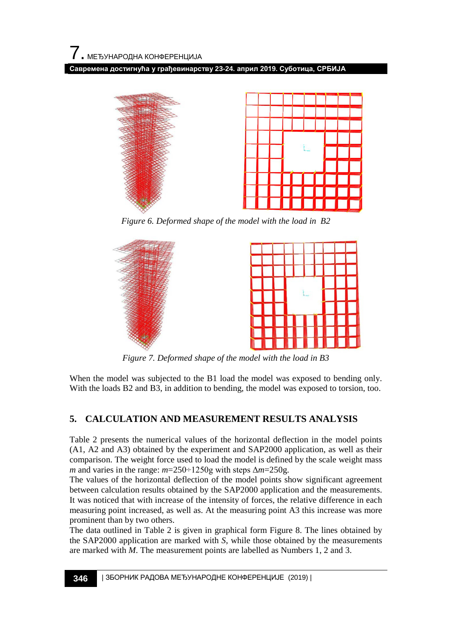**Савремена достигнућа у грађевинарству 23-24. април 2019. Суботица, СРБИЈА**



*Figure 6. Deformed shape of the model with the load in B2*



*Figure 7. Deformed shape of the model with the load in B3*

When the model was subjected to the B1 load the model was exposed to bending only. With the loads B2 and B3, in addition to bending, the model was exposed to torsion, too.

## **5. CALCULATION AND MEASUREMENT RESULTS ANALYSIS**

Table 2 presents the numerical values of the horizontal deflection in the model points (A1, A2 and A3) obtained by the experiment and SAP2000 application, as well as their comparison. The weight force used to load the model is defined by the scale weight mass *m* and varies in the range: *m*=250÷1250g with steps Δ*m*=250g.

The values of the horizontal deflection of the model points show significant agreement between calculation results obtained by the SAP2000 application and the measurements. It was noticed that with increase of the intensity of forces, the relative difference in each measuring point increased, as well as. At the measuring point A3 this increase was more prominent than by two others.

The data outlined in Table 2 is given in graphical form Figure 8. The lines obtained by the SAP2000 application are marked with *S*, while those obtained by the measurements are marked with *M*. The measurement points are labelled as Numbers 1, 2 and 3.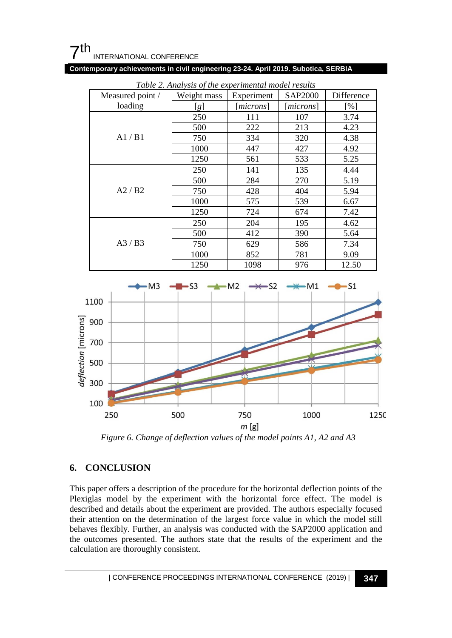

**Contemporary achievements in civil engineering 23-24. April 2019. Subotica, SERBIA**

| Measured point / | Weight mass | Experiment         | SAP2000            | Difference |
|------------------|-------------|--------------------|--------------------|------------|
| loading          | [g]         | [ <i>microns</i> ] | [ <i>microns</i> ] | [%]        |
| A1/B1            | 250         | 111                | 107                | 3.74       |
|                  | 500         | 222                | 213                | 4.23       |
|                  | 750         | 334                | 320                | 4.38       |
|                  | 1000        | 447                | 427                | 4.92       |
|                  | 1250        | 561                | 533                | 5.25       |
| A2/B2            | 250         | 141                | 135                | 4.44       |
|                  | 500         | 284                | 270                | 5.19       |
|                  | 750         | 428                | 404                | 5.94       |
|                  | 1000        | 575                | 539                | 6.67       |
|                  | 1250        | 724                | 674                | 7.42       |
| A3/B3            | 250         | 204                | 195                | 4.62       |
|                  | 500         | 412                | 390                | 5.64       |
|                  | 750         | 629                | 586                | 7.34       |
|                  | 1000        | 852                | 781                | 9.09       |
|                  | 1250        | 1098               | 976                | 12.50      |

*Table 2. Analysis of the experimental model results*



*Figure 6. Change of deflection values of the model points A1, A2 and A3*

#### **6. CONCLUSION**

This paper offers a description of the procedure for the horizontal deflection points of the Plexiglas model by the experiment with the horizontal force effect. The model is described and details about the experiment are provided. The authors especially focused their attention on the determination of the largest force value in which the model still behaves flexibly. Further, an analysis was conducted with the SAP2000 application and the outcomes presented. The authors state that the results of the experiment and the calculation are thoroughly consistent.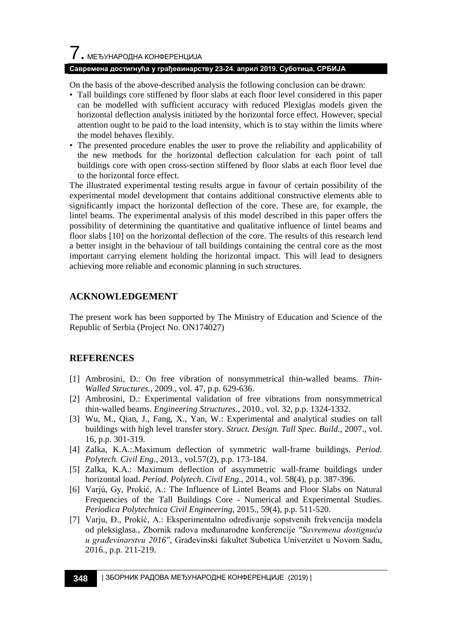#### **Савремена достигнућа у грађевинарству 23-24. април 2019. Суботица, СРБИЈА**

On the basis of the above-described analysis the following conclusion can be drawn:

- Tall buildings core stiffened by floor slabs at each floor level considered in this paper can be modelled with sufficient accuracy with reduced Plexiglas models given the horizontal deflection analysis initiated by the horizontal force effect. However, special attention ought to be paid to the load intensity, which is to stay within the limits where the model behaves flexibly.
- The presented procedure enables the user to prove the reliability and applicability of the new methods for the horizontal deflection calculation for each point of tall buildings core with open cross-section stiffened by floor slabs at each floor level due to the horizontal force effect.

The illustrated experimental testing results argue in favour of certain possibility of the experimental model development that contains additional constructive elements able to significantly impact the horizontal deflection of the core. These are, for example, the lintel beams. The experimental analysis of this model described in this paper offers the possibility of determining the quantitative and qualitative influence of lintel beams and floor slabs [10] on the horizontal deflection of the core. The results of this research lend a better insight in the behaviour of tall buildings containing the central core as the most important carrying element holding the horizontal impact. This will lead to designers achieving more reliable and economic planning in such structures.

#### **ACKNOWLEDGEMENT**

The present work has been supported by The Ministry of Education and Science of the Republic of Serbia (Project No. [ON174027\)](http://www.sciencedirect.com/science/article/pii/S0263823114003607#gs1)

#### **REFERENCES**

- [1] Ambrosini, D.: On free vibration of nonsymmetrical thin-walled beams. *Thin-Walled Structures.*, 2009., vol. 47, p.p. 629-636.
- [2] Ambrosini, D.: Experimental validation of free vibrations from nonsymmetrical thin-walled beams. *Engineering Structures.*, 2010., vol. 32, p.p. 1324-1332.
- [3] Wu, M., Qian, J., Fang, X., Yan, W.: Experimental and analytical studies on tall buildings with high level transfer story. *Struct. Design. Tall Spec. Build.*, 2007., vol. 16, p.p. 301-319.
- [4] Zalka, K.A.:.Maximum deflection of symmetric wall-frame buildings. *Period. Polytech. Civil Eng.*, 2013., vol.57(2), p.p. 173-184.
- [5] Zalka, K.A.: Maximum deflection of assymmetric wall-frame buildings under horizontal load. *Period. Polytech. Civil Eng.*, 2014., vol. 58(4), p.p. 387-396.
- [6] Varjú, Gy, Prokić, A.: The Influence of Lintel Beams and Floor Slabs on Natural Frequencies of the Tall Buildings Core - Numerical and Experimental Studies. *Periodica Polytechnica Civil Engineering*, 2015., 59(4), p.p. 511-520.
- [7] Varju, Đ., Prokić, A.: [Eksperimentalno određivanje sopstvenih frekvencija modela](http://www.gf.uns.ac.rs/%7Ezbornik/index.php?lang=LAT&menu=6&zbornik_id=39&rad_id=456)  [od pleksiglasa.](http://www.gf.uns.ac.rs/%7Ezbornik/index.php?lang=LAT&menu=6&zbornik_id=39&rad_id=456), Zbornik radova međunarodne konferencije *"Savremena dostignuća u građevinarstvu 2016",* Građevinski fakultet Subotica Univerzitet u Novom Sadu, 2016., p.p. 211-219.